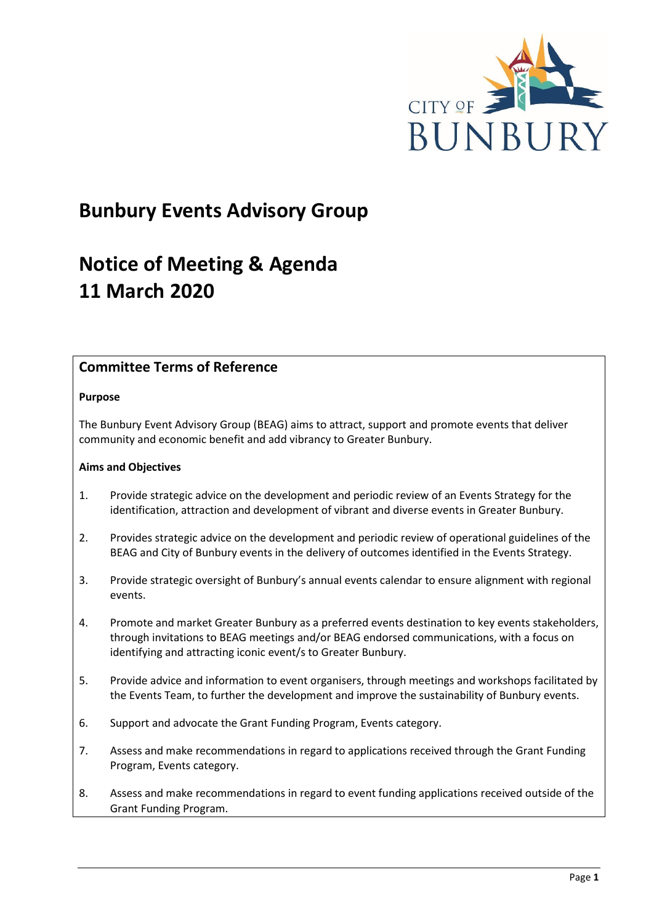

## **Bunbury Events Advisory Group**

## **Notice of Meeting & Agenda 11 March 2020**

## **Committee Terms of Reference**

#### **Purpose**

The Bunbury Event Advisory Group (BEAG) aims to attract, support and promote events that deliver community and economic benefit and add vibrancy to Greater Bunbury.

#### **Aims and Objectives**

- 1. Provide strategic advice on the development and periodic review of an Events Strategy for the identification, attraction and development of vibrant and diverse events in Greater Bunbury.
- 2. Provides strategic advice on the development and periodic review of operational guidelines of the BEAG and City of Bunbury events in the delivery of outcomes identified in the Events Strategy.
- 3. Provide strategic oversight of Bunbury's annual events calendar to ensure alignment with regional events.
- 4. Promote and market Greater Bunbury as a preferred events destination to key events stakeholders, through invitations to BEAG meetings and/or BEAG endorsed communications, with a focus on identifying and attracting iconic event/s to Greater Bunbury.
- 5. Provide advice and information to event organisers, through meetings and workshops facilitated by the Events Team, to further the development and improve the sustainability of Bunbury events.
- 6. Support and advocate the Grant Funding Program, Events category.
- 7. Assess and make recommendations in regard to applications received through the Grant Funding Program, Events category.
- 8. Assess and make recommendations in regard to event funding applications received outside of the Grant Funding Program.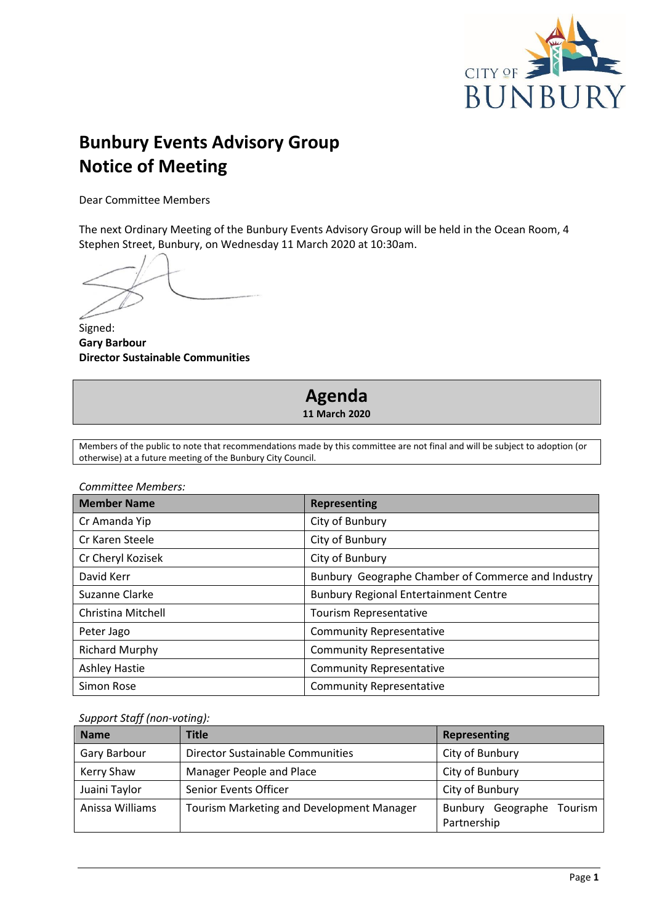

## **Bunbury Events Advisory Group Notice of Meeting**

Dear Committee Members

The next Ordinary Meeting of the Bunbury Events Advisory Group will be held in the Ocean Room, 4 Stephen Street, Bunbury, on Wednesday 11 March 2020 at 10:30am.

Signed: **Gary Barbour Director Sustainable Communities**

# **Agenda**

**11 March 2020**

Members of the public to note that recommendations made by this committee are not final and will be subject to adoption (or otherwise) at a future meeting of the Bunbury City Council.

*Committee Members:*

| <b>Member Name</b>    | <b>Representing</b>                                |
|-----------------------|----------------------------------------------------|
| Cr Amanda Yip         | City of Bunbury                                    |
| Cr Karen Steele       | City of Bunbury                                    |
| Cr Cheryl Kozisek     | City of Bunbury                                    |
| David Kerr            | Bunbury Geographe Chamber of Commerce and Industry |
| Suzanne Clarke        | <b>Bunbury Regional Entertainment Centre</b>       |
| Christina Mitchell    | Tourism Representative                             |
| Peter Jago            | <b>Community Representative</b>                    |
| <b>Richard Murphy</b> | <b>Community Representative</b>                    |
| <b>Ashley Hastie</b>  | <b>Community Representative</b>                    |
| Simon Rose            | <b>Community Representative</b>                    |

*Support Staff (non-voting):*

| <b>Name</b>     | <b>Title</b>                              | Representing                                |
|-----------------|-------------------------------------------|---------------------------------------------|
| Gary Barbour    | Director Sustainable Communities          | City of Bunbury                             |
| Kerry Shaw      | Manager People and Place                  | City of Bunbury                             |
| Juaini Taylor   | Senior Events Officer                     | City of Bunbury                             |
| Anissa Williams | Tourism Marketing and Development Manager | Bunbury Geographe<br>Tourism<br>Partnership |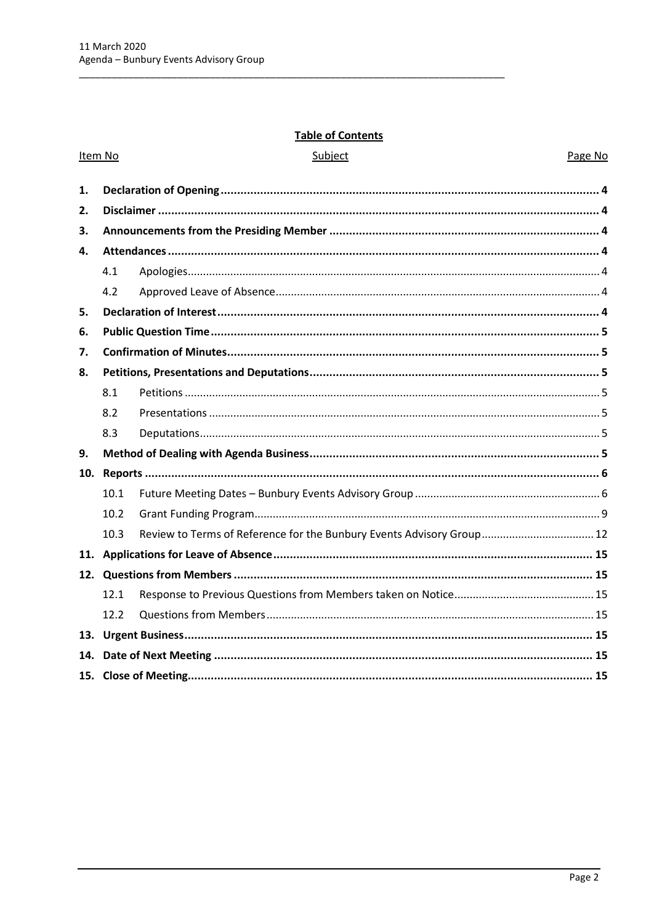#### **Table of Contents**

Subject

| 1.  |      |                                                                       |  |
|-----|------|-----------------------------------------------------------------------|--|
| 2.  |      |                                                                       |  |
| 3.  |      |                                                                       |  |
| 4.  |      |                                                                       |  |
|     | 4.1  |                                                                       |  |
|     | 4.2  |                                                                       |  |
| 5.  |      |                                                                       |  |
| 6.  |      |                                                                       |  |
| 7.  |      |                                                                       |  |
| 8.  |      |                                                                       |  |
|     | 8.1  |                                                                       |  |
|     | 8.2  |                                                                       |  |
|     | 8.3  |                                                                       |  |
| 9.  |      |                                                                       |  |
| 10. |      |                                                                       |  |
|     | 10.1 |                                                                       |  |
|     | 10.2 |                                                                       |  |
|     | 10.3 | Review to Terms of Reference for the Bunbury Events Advisory Group 12 |  |
|     |      |                                                                       |  |
|     |      |                                                                       |  |
|     | 12.1 |                                                                       |  |
|     | 12.2 |                                                                       |  |
| 13. |      |                                                                       |  |
|     |      |                                                                       |  |

#### Item No

Page No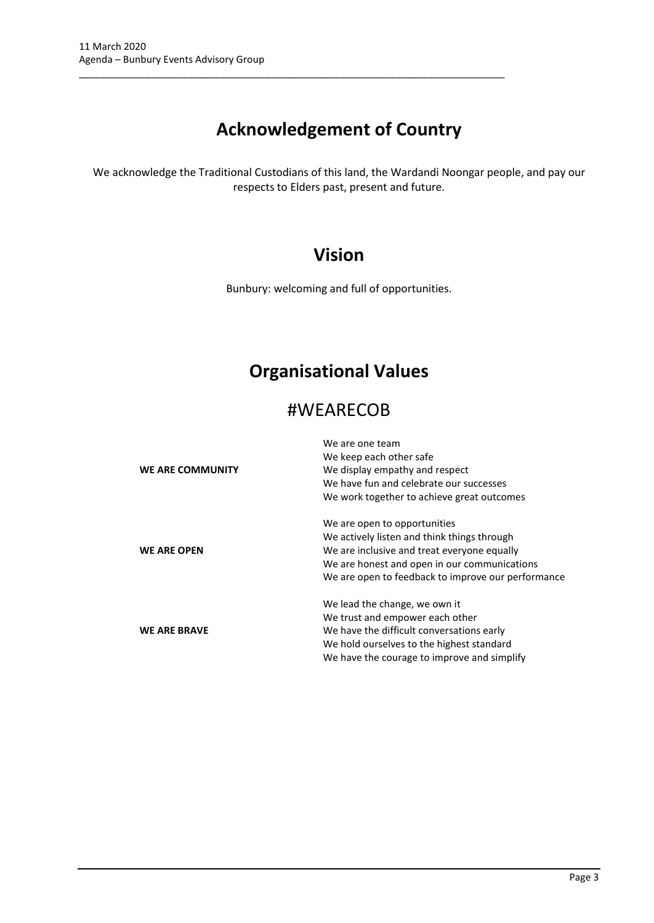## **Acknowledgement of Country**

\_\_\_\_\_\_\_\_\_\_\_\_\_\_\_\_\_\_\_\_\_\_\_\_\_\_\_\_\_\_\_\_\_\_\_\_\_\_\_\_\_\_\_\_\_\_\_\_\_\_\_\_\_\_\_\_\_\_\_\_\_\_\_\_\_\_\_\_\_\_\_\_\_\_\_\_\_\_

We acknowledge the Traditional Custodians of this land, the Wardandi Noongar people, and pay our respects to Elders past, present and future.

## **Vision**

Bunbury: welcoming and full of opportunities.

## **Organisational Values**

## #WEARECOB

|                     | We are one team                                    |
|---------------------|----------------------------------------------------|
|                     | We keep each other safe                            |
| WE ARE COMMUNITY    | We display empathy and respect                     |
|                     | We have fun and celebrate our successes            |
|                     | We work together to achieve great outcomes         |
|                     | We are open to opportunities                       |
|                     | We actively listen and think things through        |
| <b>WE ARE OPEN</b>  | We are inclusive and treat everyone equally        |
|                     | We are honest and open in our communications       |
|                     | We are open to feedback to improve our performance |
|                     | We lead the change, we own it                      |
|                     | We trust and empower each other                    |
| <b>WE ARE BRAVE</b> | We have the difficult conversations early          |
|                     | We hold ourselves to the highest standard          |
|                     | We have the courage to improve and simplify        |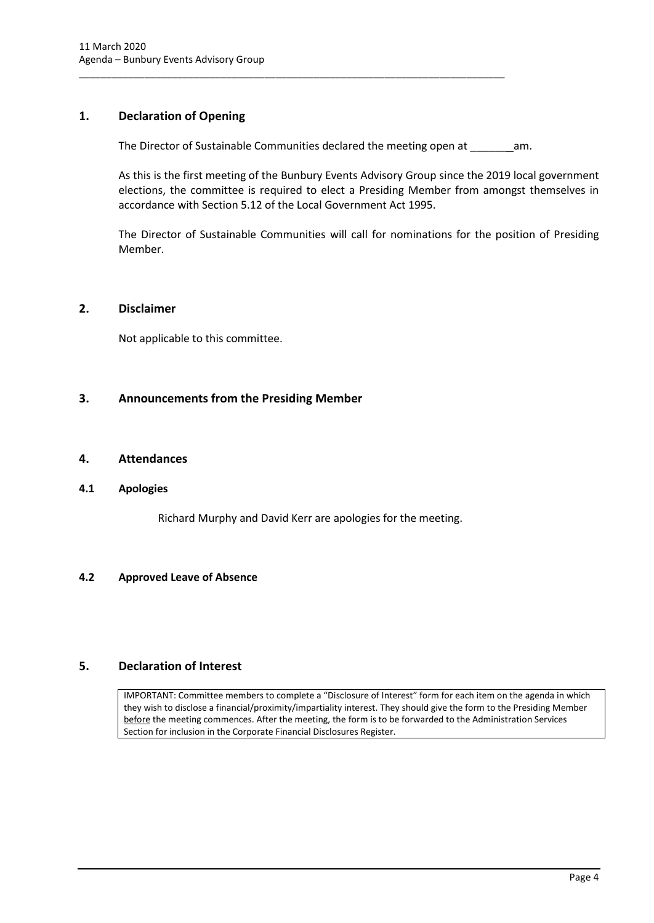## <span id="page-4-0"></span>**1. Declaration of Opening**

The Director of Sustainable Communities declared the meeting open at \_\_\_\_\_\_ am.

\_\_\_\_\_\_\_\_\_\_\_\_\_\_\_\_\_\_\_\_\_\_\_\_\_\_\_\_\_\_\_\_\_\_\_\_\_\_\_\_\_\_\_\_\_\_\_\_\_\_\_\_\_\_\_\_\_\_\_\_\_\_\_\_\_\_\_\_\_\_\_\_\_\_\_\_\_\_

As this is the first meeting of the Bunbury Events Advisory Group since the 2019 local government elections, the committee is required to elect a Presiding Member from amongst themselves in accordance with Section 5.12 of the Local Government Act 1995.

The Director of Sustainable Communities will call for nominations for the position of Presiding Member.

#### <span id="page-4-1"></span>**2. Disclaimer**

Not applicable to this committee.

#### <span id="page-4-2"></span>**3. Announcements from the Presiding Member**

#### <span id="page-4-3"></span>**4. Attendances**

#### <span id="page-4-4"></span>**4.1 Apologies**

Richard Murphy and David Kerr are apologies for the meeting.

#### <span id="page-4-5"></span>**4.2 Approved Leave of Absence**

### <span id="page-4-6"></span>**5. Declaration of Interest**

IMPORTANT: Committee members to complete a "Disclosure of Interest" form for each item on the agenda in which they wish to disclose a financial/proximity/impartiality interest. They should give the form to the Presiding Member before the meeting commences. After the meeting, the form is to be forwarded to the Administration Services Section for inclusion in the Corporate Financial Disclosures Register.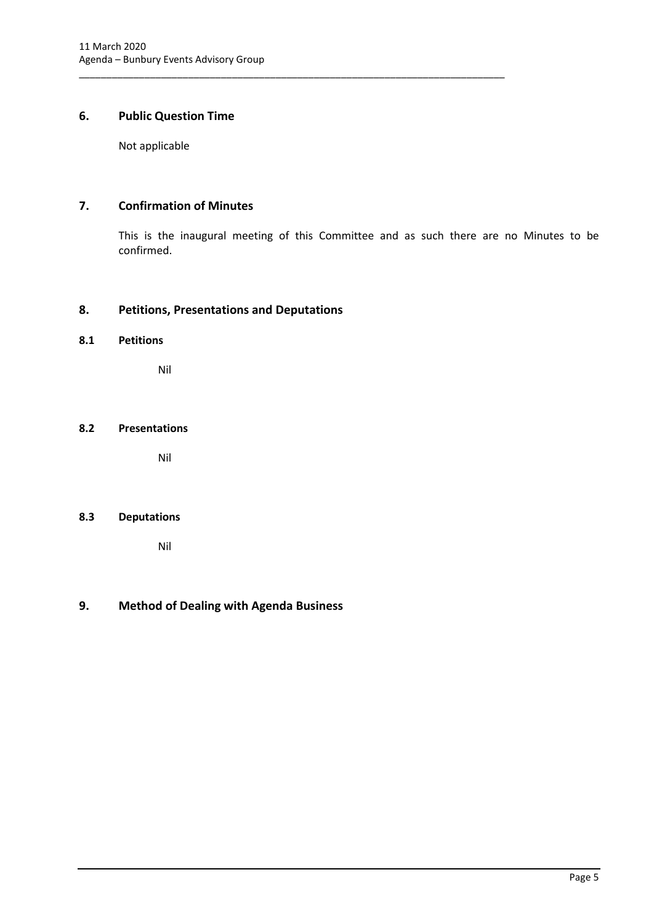## <span id="page-5-0"></span>**6. Public Question Time**

Not applicable

## <span id="page-5-1"></span>**7. Confirmation of Minutes**

This is the inaugural meeting of this Committee and as such there are no Minutes to be confirmed.

\_\_\_\_\_\_\_\_\_\_\_\_\_\_\_\_\_\_\_\_\_\_\_\_\_\_\_\_\_\_\_\_\_\_\_\_\_\_\_\_\_\_\_\_\_\_\_\_\_\_\_\_\_\_\_\_\_\_\_\_\_\_\_\_\_\_\_\_\_\_\_\_\_\_\_\_\_\_

### <span id="page-5-2"></span>**8. Petitions, Presentations and Deputations**

## <span id="page-5-3"></span>**8.1 Petitions**

Nil

## <span id="page-5-4"></span>**8.2 Presentations**

Nil

#### <span id="page-5-5"></span>**8.3 Deputations**

Nil

## <span id="page-5-6"></span>**9. Method of Dealing with Agenda Business**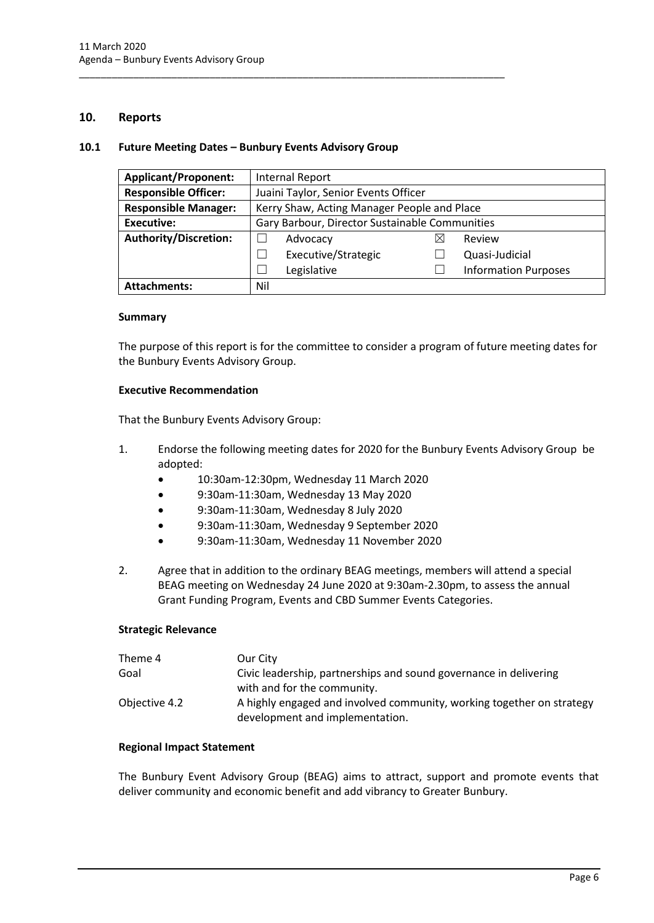#### <span id="page-6-0"></span>**10. Reports**

#### <span id="page-6-1"></span>**10.1 Future Meeting Dates – Bunbury Events Advisory Group**

\_\_\_\_\_\_\_\_\_\_\_\_\_\_\_\_\_\_\_\_\_\_\_\_\_\_\_\_\_\_\_\_\_\_\_\_\_\_\_\_\_\_\_\_\_\_\_\_\_\_\_\_\_\_\_\_\_\_\_\_\_\_\_\_\_\_\_\_\_\_\_\_\_\_\_\_\_\_

| <b>Applicant/Proponent:</b>  | Internal Report                                |  |                             |
|------------------------------|------------------------------------------------|--|-----------------------------|
| <b>Responsible Officer:</b>  | Juaini Taylor, Senior Events Officer           |  |                             |
| <b>Responsible Manager:</b>  | Kerry Shaw, Acting Manager People and Place    |  |                             |
| <b>Executive:</b>            | Gary Barbour, Director Sustainable Communities |  |                             |
| <b>Authority/Discretion:</b> | Advocacy                                       |  | Review                      |
|                              | Executive/Strategic                            |  | Quasi-Judicial              |
|                              | Legislative                                    |  | <b>Information Purposes</b> |
| <b>Attachments:</b>          | Nil                                            |  |                             |

#### **Summary**

The purpose of this report is for the committee to consider a program of future meeting dates for the Bunbury Events Advisory Group.

#### **Executive Recommendation**

That the Bunbury Events Advisory Group:

- 1. Endorse the following meeting dates for 2020 for the Bunbury Events Advisory Group be adopted:
	- 10:30am-12:30pm, Wednesday 11 March 2020
	- 9:30am-11:30am, Wednesday 13 May 2020
	- 9:30am-11:30am, Wednesday 8 July 2020
	- 9:30am-11:30am, Wednesday 9 September 2020
	- 9:30am-11:30am, Wednesday 11 November 2020
- 2. Agree that in addition to the ordinary BEAG meetings, members will attend a special BEAG meeting on Wednesday 24 June 2020 at 9:30am-2.30pm, to assess the annual Grant Funding Program, Events and CBD Summer Events Categories.

#### **Strategic Relevance**

| Theme 4       | Our City                                                              |
|---------------|-----------------------------------------------------------------------|
| Goal          | Civic leadership, partnerships and sound governance in delivering     |
|               | with and for the community.                                           |
| Objective 4.2 | A highly engaged and involved community, working together on strategy |
|               | development and implementation.                                       |

#### **Regional Impact Statement**

The Bunbury Event Advisory Group (BEAG) aims to attract, support and promote events that deliver community and economic benefit and add vibrancy to Greater Bunbury.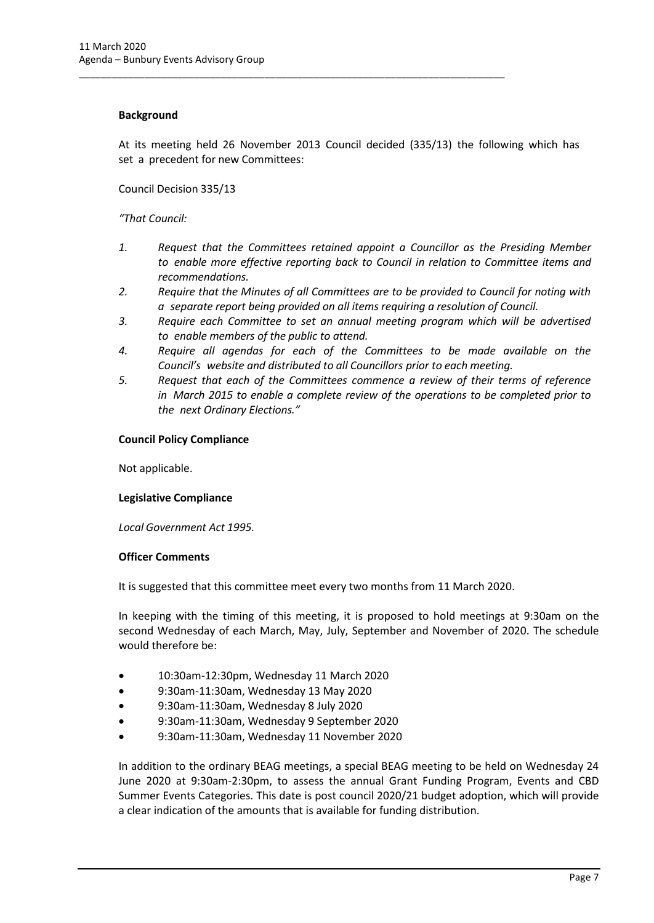#### **Background**

At its meeting held 26 November 2013 Council decided (335/13) the following which has set a precedent for new Committees:

\_\_\_\_\_\_\_\_\_\_\_\_\_\_\_\_\_\_\_\_\_\_\_\_\_\_\_\_\_\_\_\_\_\_\_\_\_\_\_\_\_\_\_\_\_\_\_\_\_\_\_\_\_\_\_\_\_\_\_\_\_\_\_\_\_\_\_\_\_\_\_\_\_\_\_\_\_\_

Council Decision 335/13

#### *"That Council:*

- *1. Request that the Committees retained appoint a Councillor as the Presiding Member to enable more effective reporting back to Council in relation to Committee items and recommendations.*
- *2. Require that the Minutes of all Committees are to be provided to Council for noting with a separate report being provided on all items requiring a resolution of Council.*
- *3. Require each Committee to set an annual meeting program which will be advertised to enable members of the public to attend.*
- *4. Require all agendas for each of the Committees to be made available on the Council's website and distributed to all Councillors prior to each meeting.*
- *5. Request that each of the Committees commence a review of their terms of reference in March 2015 to enable a complete review of the operations to be completed prior to the next Ordinary Elections."*

#### **Council Policy Compliance**

Not applicable.

#### **Legislative Compliance**

*Local Government Act 1995.*

#### **Officer Comments**

It is suggested that this committee meet every two months from 11 March 2020.

In keeping with the timing of this meeting, it is proposed to hold meetings at 9:30am on the second Wednesday of each March, May, July, September and November of 2020. The schedule would therefore be:

- 10:30am-12:30pm, Wednesday 11 March 2020
- 9:30am-11:30am, Wednesday 13 May 2020
- 9:30am-11:30am, Wednesday 8 July 2020
- 9:30am-11:30am, Wednesday 9 September 2020
- 9:30am-11:30am, Wednesday 11 November 2020

In addition to the ordinary BEAG meetings, a special BEAG meeting to be held on Wednesday 24 June 2020 at 9:30am-2:30pm, to assess the annual Grant Funding Program, Events and CBD Summer Events Categories. This date is post council 2020/21 budget adoption, which will provide a clear indication of the amounts that is available for funding distribution.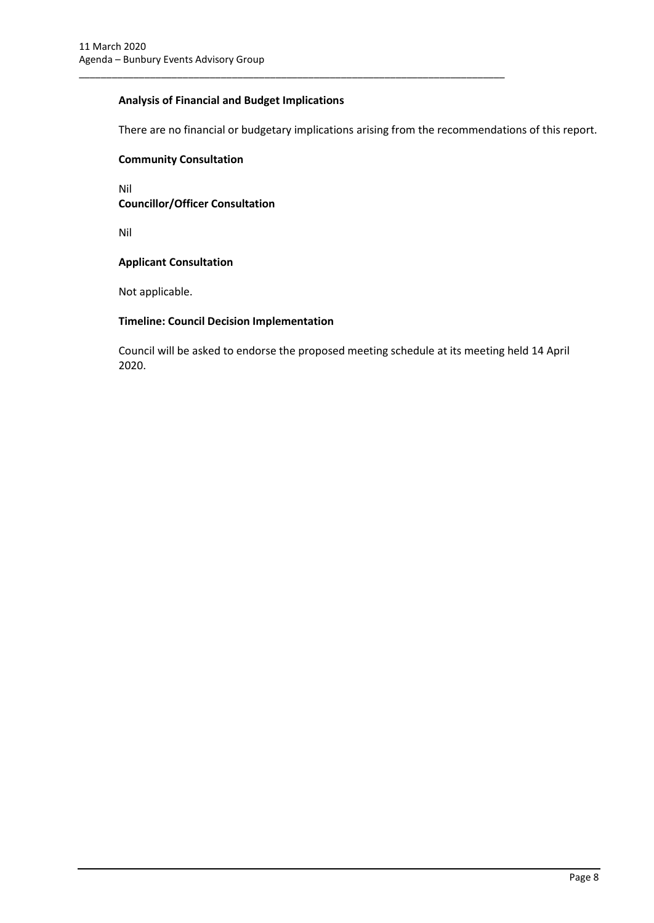#### **Analysis of Financial and Budget Implications**

\_\_\_\_\_\_\_\_\_\_\_\_\_\_\_\_\_\_\_\_\_\_\_\_\_\_\_\_\_\_\_\_\_\_\_\_\_\_\_\_\_\_\_\_\_\_\_\_\_\_\_\_\_\_\_\_\_\_\_\_\_\_\_\_\_\_\_\_\_\_\_\_\_\_\_\_\_\_

There are no financial or budgetary implications arising from the recommendations of this report.

#### **Community Consultation**

Nil **Councillor/Officer Consultation**

Nil

#### **Applicant Consultation**

Not applicable.

#### **Timeline: Council Decision Implementation**

Council will be asked to endorse the proposed meeting schedule at its meeting held 14 April 2020.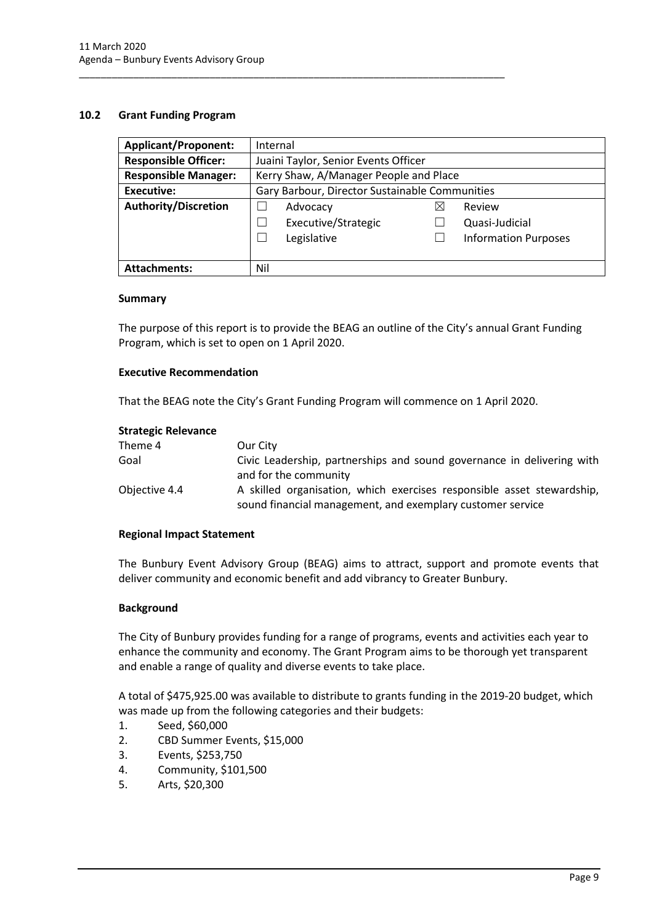#### <span id="page-9-0"></span>**10.2 Grant Funding Program**

| <b>Applicant/Proponent:</b> | Internal                                       |   |                             |
|-----------------------------|------------------------------------------------|---|-----------------------------|
| <b>Responsible Officer:</b> | Juaini Taylor, Senior Events Officer           |   |                             |
| <b>Responsible Manager:</b> | Kerry Shaw, A/Manager People and Place         |   |                             |
| Executive:                  | Gary Barbour, Director Sustainable Communities |   |                             |
| <b>Authority/Discretion</b> | Advocacy                                       | ⋈ | Review                      |
|                             | Executive/Strategic                            |   | Quasi-Judicial              |
|                             | Legislative                                    |   | <b>Information Purposes</b> |
|                             |                                                |   |                             |
| <b>Attachments:</b>         | Nil                                            |   |                             |

\_\_\_\_\_\_\_\_\_\_\_\_\_\_\_\_\_\_\_\_\_\_\_\_\_\_\_\_\_\_\_\_\_\_\_\_\_\_\_\_\_\_\_\_\_\_\_\_\_\_\_\_\_\_\_\_\_\_\_\_\_\_\_\_\_\_\_\_\_\_\_\_\_\_\_\_\_\_

#### **Summary**

The purpose of this report is to provide the BEAG an outline of the City's annual Grant Funding Program, which is set to open on 1 April 2020.

#### **Executive Recommendation**

That the BEAG note the City's Grant Funding Program will commence on 1 April 2020.

#### **Strategic Relevance**

| Theme 4       | Our City                                                                                                                             |
|---------------|--------------------------------------------------------------------------------------------------------------------------------------|
| Goal          | Civic Leadership, partnerships and sound governance in delivering with                                                               |
|               | and for the community                                                                                                                |
| Objective 4.4 | A skilled organisation, which exercises responsible asset stewardship,<br>sound financial management, and exemplary customer service |

#### **Regional Impact Statement**

The Bunbury Event Advisory Group (BEAG) aims to attract, support and promote events that deliver community and economic benefit and add vibrancy to Greater Bunbury.

#### **Background**

The City of Bunbury provides funding for a range of programs, events and activities each year to enhance the community and economy. The Grant Program aims to be thorough yet transparent and enable a range of quality and diverse events to take place.

A total of \$475,925.00 was available to distribute to grants funding in the 2019-20 budget, which was made up from the following categories and their budgets:

- 1. Seed, \$60,000
- 2. CBD Summer Events, \$15,000
- 3. Events, \$253,750
- 4. Community, \$101,500
- 5. Arts, \$20,300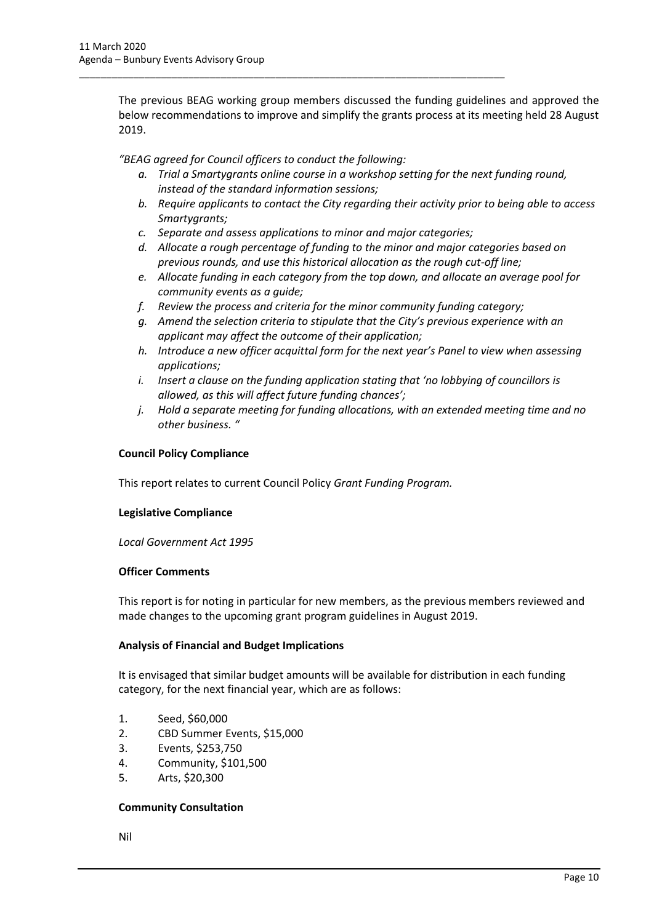The previous BEAG working group members discussed the funding guidelines and approved the below recommendations to improve and simplify the grants process at its meeting held 28 August 2019.

*"BEAG agreed for Council officers to conduct the following:* 

\_\_\_\_\_\_\_\_\_\_\_\_\_\_\_\_\_\_\_\_\_\_\_\_\_\_\_\_\_\_\_\_\_\_\_\_\_\_\_\_\_\_\_\_\_\_\_\_\_\_\_\_\_\_\_\_\_\_\_\_\_\_\_\_\_\_\_\_\_\_\_\_\_\_\_\_\_\_

- *a. Trial a Smartygrants online course in a workshop setting for the next funding round, instead of the standard information sessions;*
- *b. Require applicants to contact the City regarding their activity prior to being able to access Smartygrants;*
- *c. Separate and assess applications to minor and major categories;*
- *d. Allocate a rough percentage of funding to the minor and major categories based on previous rounds, and use this historical allocation as the rough cut-off line;*
- *e. Allocate funding in each category from the top down, and allocate an average pool for community events as a guide;*
- *f. Review the process and criteria for the minor community funding category;*
- *g. Amend the selection criteria to stipulate that the City's previous experience with an applicant may affect the outcome of their application;*
- *h. Introduce a new officer acquittal form for the next year's Panel to view when assessing applications;*
- *i. Insert a clause on the funding application stating that 'no lobbying of councillors is allowed, as this will affect future funding chances';*
- *j. Hold a separate meeting for funding allocations, with an extended meeting time and no other business. "*

#### **Council Policy Compliance**

This report relates to current Council Policy *Grant Funding Program.*

#### **Legislative Compliance**

*Local Government Act 1995*

#### **Officer Comments**

This report is for noting in particular for new members, as the previous members reviewed and made changes to the upcoming grant program guidelines in August 2019.

#### **Analysis of Financial and Budget Implications**

It is envisaged that similar budget amounts will be available for distribution in each funding category, for the next financial year, which are as follows:

- 1. Seed, \$60,000
- 2. CBD Summer Events, \$15,000
- 3. Events, \$253,750
- 4. Community, \$101,500
- 5. Arts, \$20,300

#### **Community Consultation**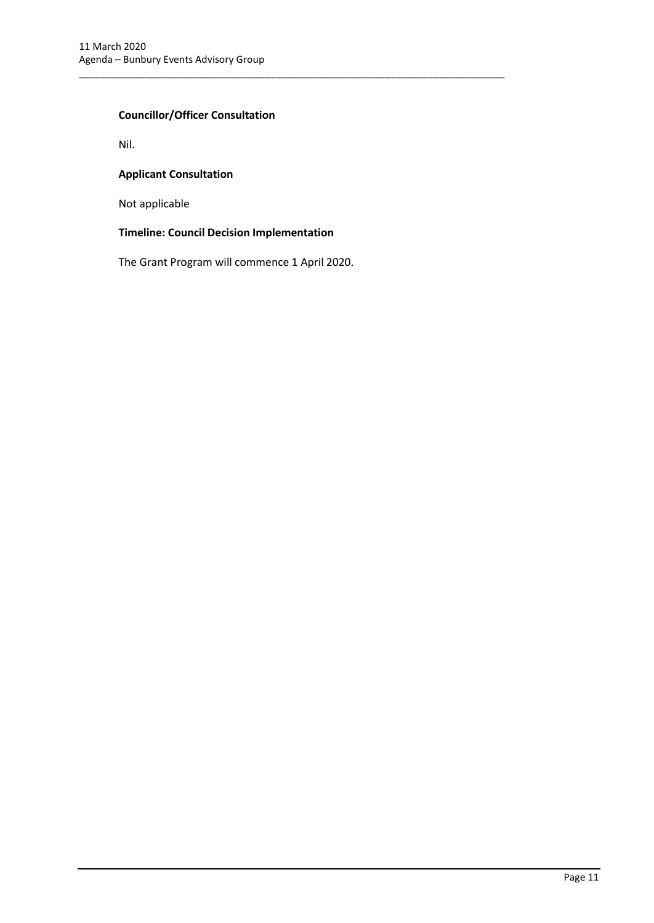### **Councillor/Officer Consultation**

Nil.

#### **Applicant Consultation**

Not applicable

### **Timeline: Council Decision Implementation**

The Grant Program will commence 1 April 2020.

\_\_\_\_\_\_\_\_\_\_\_\_\_\_\_\_\_\_\_\_\_\_\_\_\_\_\_\_\_\_\_\_\_\_\_\_\_\_\_\_\_\_\_\_\_\_\_\_\_\_\_\_\_\_\_\_\_\_\_\_\_\_\_\_\_\_\_\_\_\_\_\_\_\_\_\_\_\_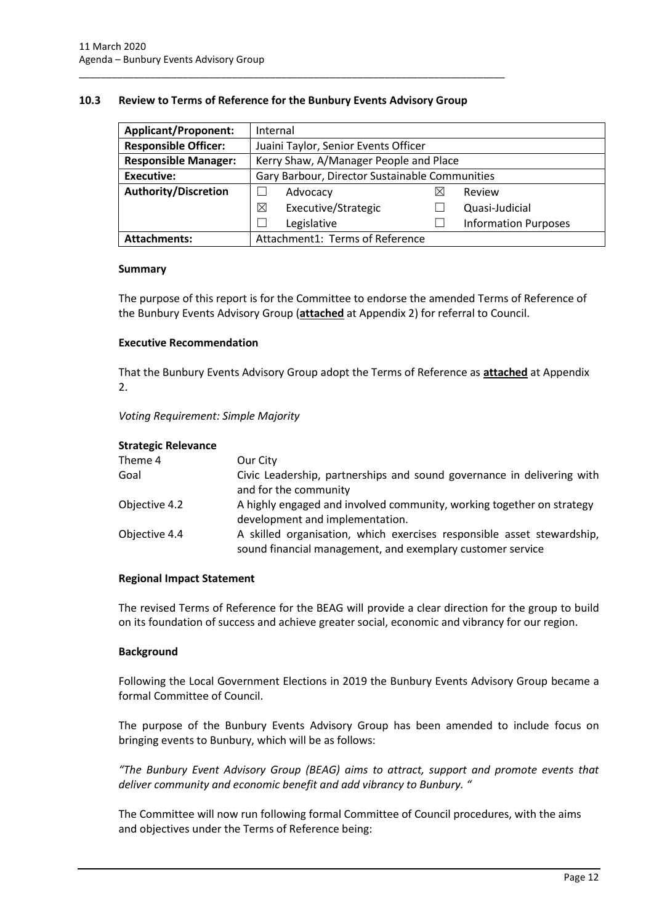#### <span id="page-12-0"></span>**10.3 Review to Terms of Reference for the Bunbury Events Advisory Group**

\_\_\_\_\_\_\_\_\_\_\_\_\_\_\_\_\_\_\_\_\_\_\_\_\_\_\_\_\_\_\_\_\_\_\_\_\_\_\_\_\_\_\_\_\_\_\_\_\_\_\_\_\_\_\_\_\_\_\_\_\_\_\_\_\_\_\_\_\_\_\_\_\_\_\_\_\_\_

| <b>Applicant/Proponent:</b> | Internal                                       |   |                             |
|-----------------------------|------------------------------------------------|---|-----------------------------|
| <b>Responsible Officer:</b> | Juaini Taylor, Senior Events Officer           |   |                             |
| <b>Responsible Manager:</b> | Kerry Shaw, A/Manager People and Place         |   |                             |
| Executive:                  | Gary Barbour, Director Sustainable Communities |   |                             |
| <b>Authority/Discretion</b> | Advocacy                                       | ⋉ | Review                      |
|                             | Executive/Strategic<br>⊠                       |   | Quasi-Judicial              |
|                             | Legislative                                    |   | <b>Information Purposes</b> |
| <b>Attachments:</b>         | Attachment1: Terms of Reference                |   |                             |

#### **Summary**

The purpose of this report is for the Committee to endorse the amended Terms of Reference of the Bunbury Events Advisory Group (**attached** at Appendix 2) for referral to Council.

#### **Executive Recommendation**

That the Bunbury Events Advisory Group adopt the Terms of Reference as **attached** at Appendix 2.

*Voting Requirement: Simple Majority* 

| <b>Strategic Relevance</b> |                                                                                                                                      |
|----------------------------|--------------------------------------------------------------------------------------------------------------------------------------|
| Theme 4                    | Our City                                                                                                                             |
| Goal                       | Civic Leadership, partnerships and sound governance in delivering with<br>and for the community                                      |
| Objective 4.2              | A highly engaged and involved community, working together on strategy<br>development and implementation.                             |
| Objective 4.4              | A skilled organisation, which exercises responsible asset stewardship,<br>sound financial management, and exemplary customer service |

#### **Regional Impact Statement**

The revised Terms of Reference for the BEAG will provide a clear direction for the group to build on its foundation of success and achieve greater social, economic and vibrancy for our region.

#### **Background**

Following the Local Government Elections in 2019 the Bunbury Events Advisory Group became a formal Committee of Council.

The purpose of the Bunbury Events Advisory Group has been amended to include focus on bringing events to Bunbury, which will be as follows:

*"The Bunbury Event Advisory Group (BEAG) aims to attract, support and promote events that deliver community and economic benefit and add vibrancy to Bunbury. "*

The Committee will now run following formal Committee of Council procedures, with the aims and objectives under the Terms of Reference being: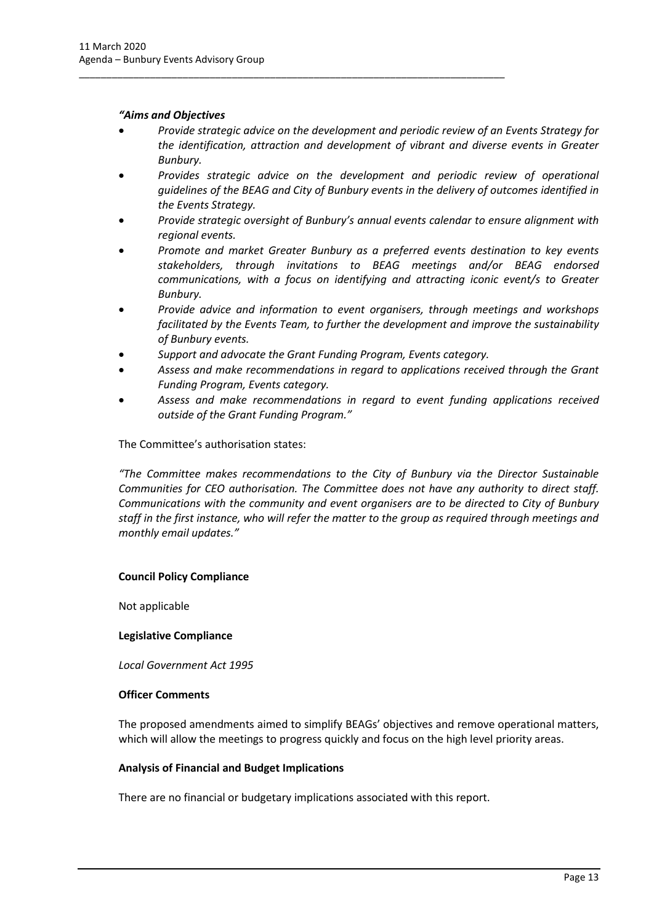#### *"Aims and Objectives*

- *Provide strategic advice on the development and periodic review of an Events Strategy for the identification, attraction and development of vibrant and diverse events in Greater Bunbury.*
- *Provides strategic advice on the development and periodic review of operational guidelines of the BEAG and City of Bunbury events in the delivery of outcomes identified in the Events Strategy.*
- *Provide strategic oversight of Bunbury's annual events calendar to ensure alignment with regional events.*
- *Promote and market Greater Bunbury as a preferred events destination to key events stakeholders, through invitations to BEAG meetings and/or BEAG endorsed communications, with a focus on identifying and attracting iconic event/s to Greater Bunbury.*
- *Provide advice and information to event organisers, through meetings and workshops facilitated by the Events Team, to further the development and improve the sustainability of Bunbury events.*
- *Support and advocate the Grant Funding Program, Events category.*

\_\_\_\_\_\_\_\_\_\_\_\_\_\_\_\_\_\_\_\_\_\_\_\_\_\_\_\_\_\_\_\_\_\_\_\_\_\_\_\_\_\_\_\_\_\_\_\_\_\_\_\_\_\_\_\_\_\_\_\_\_\_\_\_\_\_\_\_\_\_\_\_\_\_\_\_\_\_

- *Assess and make recommendations in regard to applications received through the Grant Funding Program, Events category.*
- *Assess and make recommendations in regard to event funding applications received outside of the Grant Funding Program."*

The Committee's authorisation states:

*"The Committee makes recommendations to the City of Bunbury via the Director Sustainable Communities for CEO authorisation. The Committee does not have any authority to direct staff. Communications with the community and event organisers are to be directed to City of Bunbury staff in the first instance, who will refer the matter to the group as required through meetings and monthly email updates."*

#### **Council Policy Compliance**

Not applicable

#### **Legislative Compliance**

*Local Government Act 1995*

#### **Officer Comments**

The proposed amendments aimed to simplify BEAGs' objectives and remove operational matters, which will allow the meetings to progress quickly and focus on the high level priority areas.

#### **Analysis of Financial and Budget Implications**

There are no financial or budgetary implications associated with this report.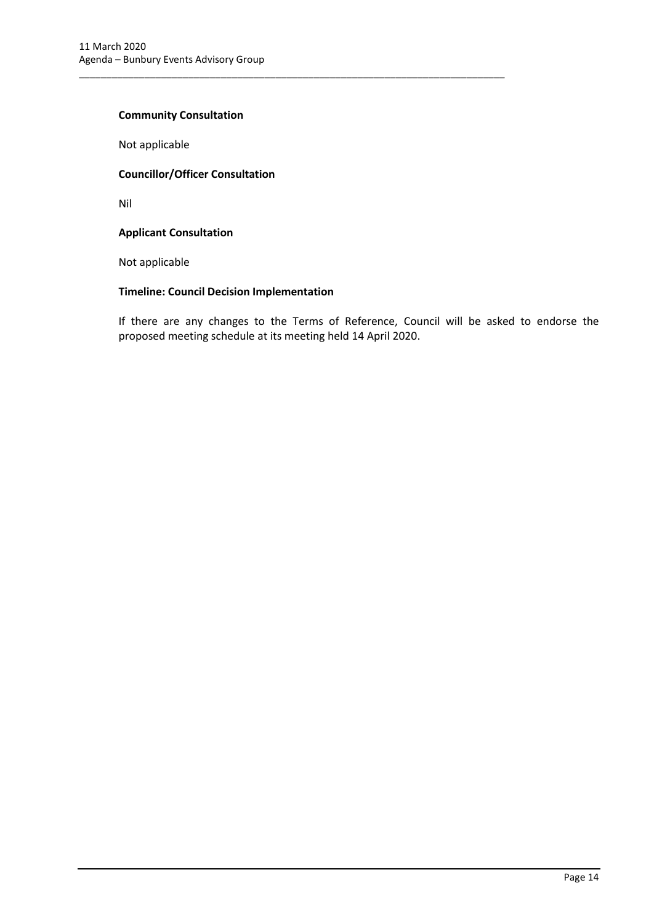#### **Community Consultation**

Not applicable

#### **Councillor/Officer Consultation**

Nil

#### **Applicant Consultation**

Not applicable

#### **Timeline: Council Decision Implementation**

\_\_\_\_\_\_\_\_\_\_\_\_\_\_\_\_\_\_\_\_\_\_\_\_\_\_\_\_\_\_\_\_\_\_\_\_\_\_\_\_\_\_\_\_\_\_\_\_\_\_\_\_\_\_\_\_\_\_\_\_\_\_\_\_\_\_\_\_\_\_\_\_\_\_\_\_\_\_

If there are any changes to the Terms of Reference, Council will be asked to endorse the proposed meeting schedule at its meeting held 14 April 2020.